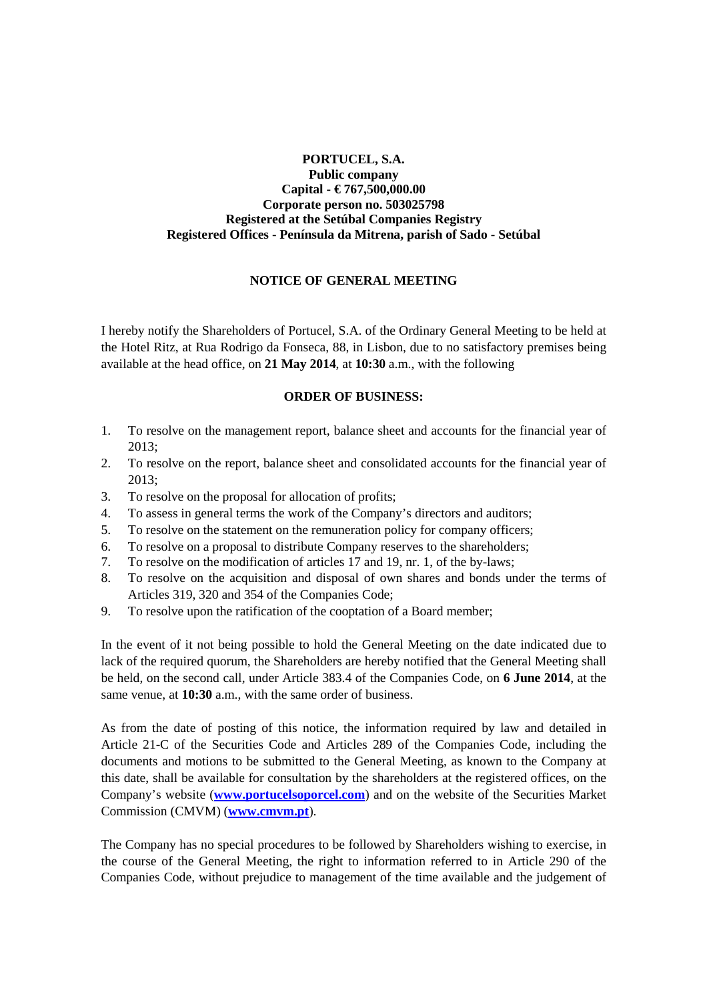## **PORTUCEL, S.A. Public company Capital - € 767,500,000.00 Corporate person no. 503025798 Registered at the Setúbal Companies Registry Registered Offices - Península da Mitrena, parish of Sado - Setúbal**

## **NOTICE OF GENERAL MEETING**

I hereby notify the Shareholders of Portucel, S.A. of the Ordinary General Meeting to be held at the Hotel Ritz, at Rua Rodrigo da Fonseca, 88, in Lisbon, due to no satisfactory premises being available at the head office, on **21 May 2014**, at **10:30** a.m., with the following

## **ORDER OF BUSINESS:**

- 1. To resolve on the management report, balance sheet and accounts for the financial year of 2013;
- 2. To resolve on the report, balance sheet and consolidated accounts for the financial year of 2013;
- 3. To resolve on the proposal for allocation of profits;
- 4. To assess in general terms the work of the Company's directors and auditors;
- 5. To resolve on the statement on the remuneration policy for company officers;
- 6. To resolve on a proposal to distribute Company reserves to the shareholders;
- 7. To resolve on the modification of articles 17 and 19, nr. 1, of the by-laws;
- 8. To resolve on the acquisition and disposal of own shares and bonds under the terms of Articles 319, 320 and 354 of the Companies Code;
- 9. To resolve upon the ratification of the cooptation of a Board member;

In the event of it not being possible to hold the General Meeting on the date indicated due to lack of the required quorum, the Shareholders are hereby notified that the General Meeting shall be held, on the second call, under Article 383.4 of the Companies Code, on **6 June 2014**, at the same venue, at **10:30** a.m., with the same order of business.

As from the date of posting of this notice, the information required by law and detailed in Article 21-C of the Securities Code and Articles 289 of the Companies Code, including the documents and motions to be submitted to the General Meeting, as known to the Company at this date, shall be available for consultation by the shareholders at the registered offices, on the Company's website (**www.portucelsoporcel.com**) and on the website of the Securities Market Commission (CMVM) (**www.cmvm.pt**).

The Company has no special procedures to be followed by Shareholders wishing to exercise, in the course of the General Meeting, the right to information referred to in Article 290 of the Companies Code, without prejudice to management of the time available and the judgement of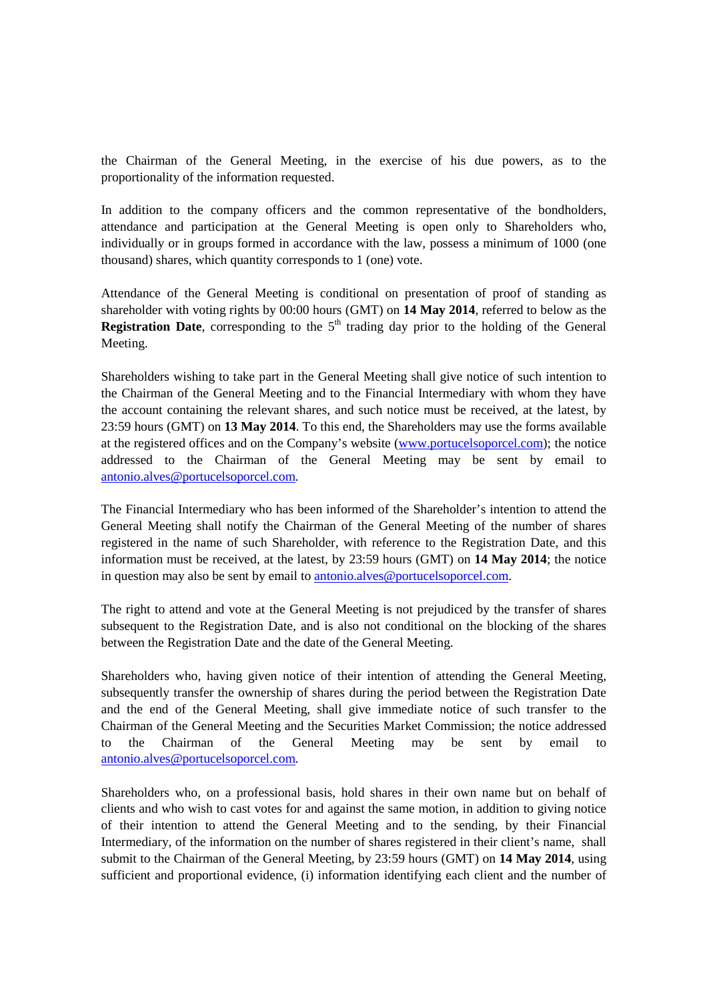the Chairman of the General Meeting, in the exercise of his due powers, as to the proportionality of the information requested.

In addition to the company officers and the common representative of the bondholders, attendance and participation at the General Meeting is open only to Shareholders who, individually or in groups formed in accordance with the law, possess a minimum of 1000 (one thousand) shares, which quantity corresponds to 1 (one) vote.

Attendance of the General Meeting is conditional on presentation of proof of standing as shareholder with voting rights by 00:00 hours (GMT) on **14 May 2014**, referred to below as the **Registration Date**, corresponding to the  $5<sup>th</sup>$  trading day prior to the holding of the General Meeting.

Shareholders wishing to take part in the General Meeting shall give notice of such intention to the Chairman of the General Meeting and to the Financial Intermediary with whom they have the account containing the relevant shares, and such notice must be received, at the latest, by 23:59 hours (GMT) on **13 May 2014**. To this end, the Shareholders may use the forms available at the registered offices and on the Company's website (www.portucelsoporcel.com); the notice addressed to the Chairman of the General Meeting may be sent by email to antonio.alves@portucelsoporcel.com.

The Financial Intermediary who has been informed of the Shareholder's intention to attend the General Meeting shall notify the Chairman of the General Meeting of the number of shares registered in the name of such Shareholder, with reference to the Registration Date, and this information must be received, at the latest, by 23:59 hours (GMT) on **14 May 2014**; the notice in question may also be sent by email to antonio.alves@portucelsoporcel.com.

The right to attend and vote at the General Meeting is not prejudiced by the transfer of shares subsequent to the Registration Date, and is also not conditional on the blocking of the shares between the Registration Date and the date of the General Meeting.

Shareholders who, having given notice of their intention of attending the General Meeting, subsequently transfer the ownership of shares during the period between the Registration Date and the end of the General Meeting, shall give immediate notice of such transfer to the Chairman of the General Meeting and the Securities Market Commission; the notice addressed to the Chairman of the General Meeting may be sent by email to antonio.alves@portucelsoporcel.com.

Shareholders who, on a professional basis, hold shares in their own name but on behalf of clients and who wish to cast votes for and against the same motion, in addition to giving notice of their intention to attend the General Meeting and to the sending, by their Financial Intermediary, of the information on the number of shares registered in their client's name, shall submit to the Chairman of the General Meeting, by 23:59 hours (GMT) on **14 May 2014**, using sufficient and proportional evidence, (i) information identifying each client and the number of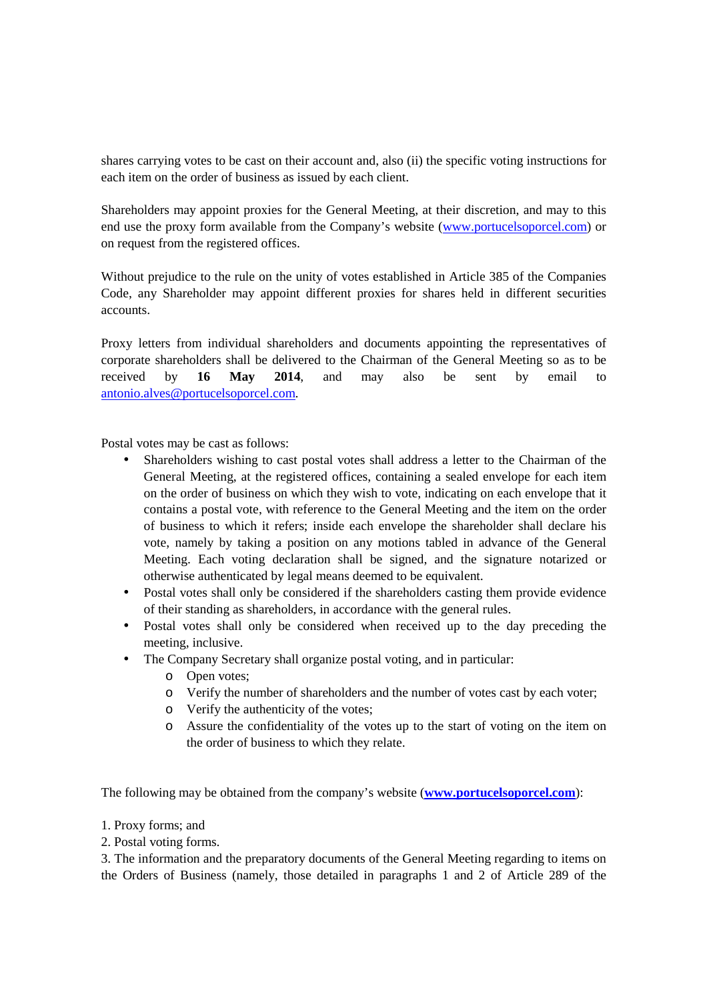shares carrying votes to be cast on their account and, also (ii) the specific voting instructions for each item on the order of business as issued by each client.

Shareholders may appoint proxies for the General Meeting, at their discretion, and may to this end use the proxy form available from the Company's website (www.portucelsoporcel.com) or on request from the registered offices.

Without prejudice to the rule on the unity of votes established in Article 385 of the Companies Code, any Shareholder may appoint different proxies for shares held in different securities accounts.

Proxy letters from individual shareholders and documents appointing the representatives of corporate shareholders shall be delivered to the Chairman of the General Meeting so as to be received by **16 May 2014**, and may also be sent by email to antonio.alves@portucelsoporcel.com.

Postal votes may be cast as follows:

- Shareholders wishing to cast postal votes shall address a letter to the Chairman of the General Meeting, at the registered offices, containing a sealed envelope for each item on the order of business on which they wish to vote, indicating on each envelope that it contains a postal vote, with reference to the General Meeting and the item on the order of business to which it refers; inside each envelope the shareholder shall declare his vote, namely by taking a position on any motions tabled in advance of the General Meeting. Each voting declaration shall be signed, and the signature notarized or otherwise authenticated by legal means deemed to be equivalent.
- Postal votes shall only be considered if the shareholders casting them provide evidence of their standing as shareholders, in accordance with the general rules.
- Postal votes shall only be considered when received up to the day preceding the meeting, inclusive.
- The Company Secretary shall organize postal voting, and in particular:
	- o Open votes;
	- o Verify the number of shareholders and the number of votes cast by each voter;
	- o Verify the authenticity of the votes;
	- o Assure the confidentiality of the votes up to the start of voting on the item on the order of business to which they relate.

The following may be obtained from the company's website (**www.portucelsoporcel.com**):

- 1. Proxy forms; and
- 2. Postal voting forms.

3. The information and the preparatory documents of the General Meeting regarding to items on the Orders of Business (namely, those detailed in paragraphs 1 and 2 of Article 289 of the